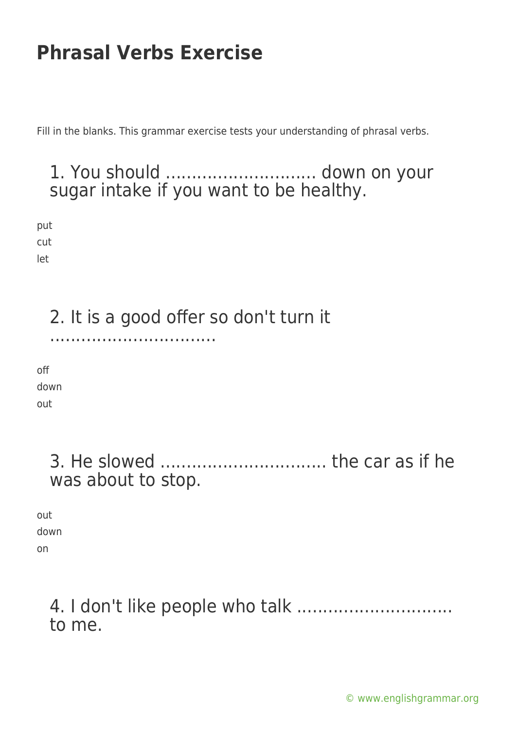Fill in the blanks. This grammar exercise tests your understanding of phrasal verbs.

### 1. You should ............................. down on your sugar intake if you want to be healthy.

put cut

let

### 2. It is a good offer so don't turn it

................................

off down out

> 3. He slowed ................................ the car as if he was about to stop.

out down on

#### 4. I don't like people who talk .............................. to me.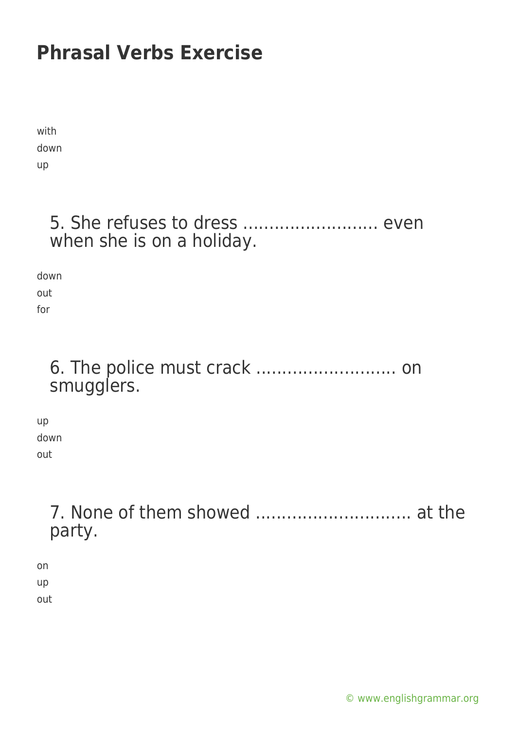with down up

#### 5. She refuses to dress ........................... even when she is on a holiday.

down out

for

#### 6. The police must crack ........................... on smugglers.

up down out

### 7. None of them showed .............................. at the party.

on up out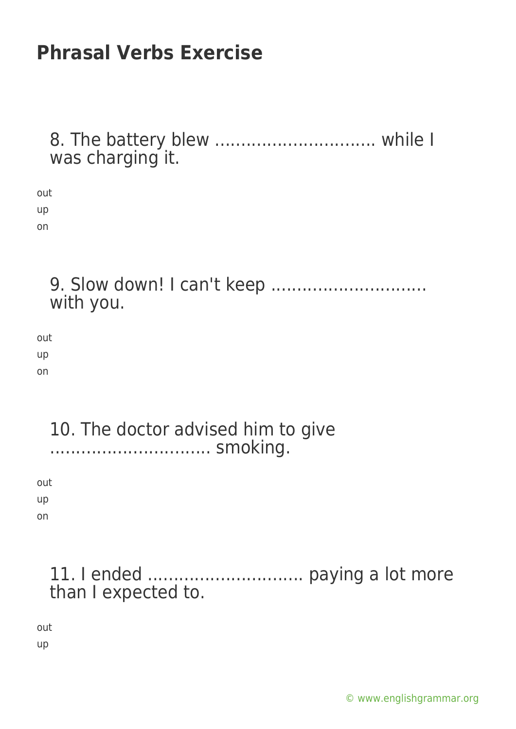| 8. The battery blew  while I<br>was charging it. |
|--------------------------------------------------|
| out<br>up<br>on                                  |
| with you.                                        |
| out<br>up<br>on                                  |
| 10. The doctor advised him to give<br>smoking.   |
| out<br>up<br>on                                  |
| than I expected to.                              |
| out                                              |

up